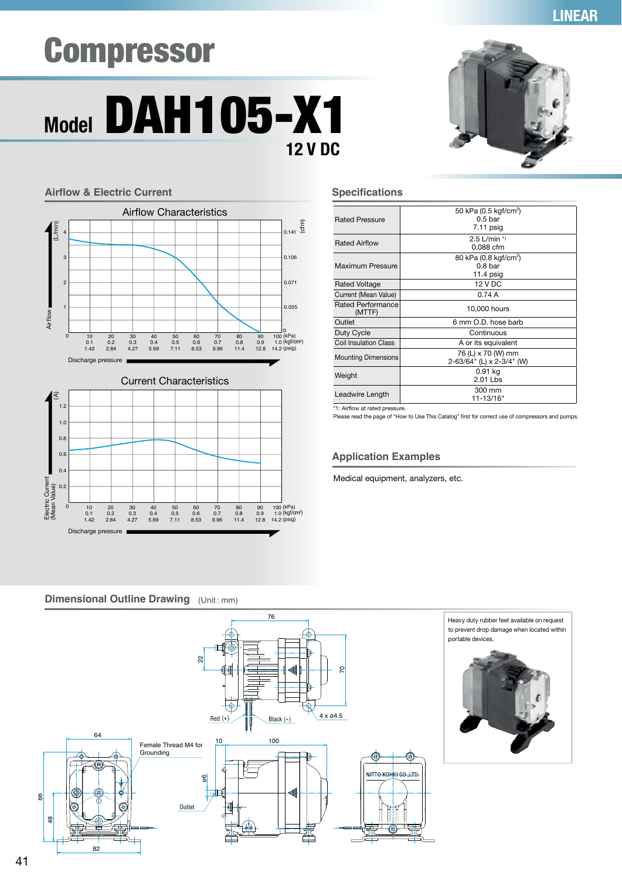# Compressor





**LINEAR** 

| <b>Rated Pressure</b>        | 50 kPa (0.5 kgf/cm <sup>2</sup> )<br>0.5 <sub>bar</sub><br>$7.11$ psig |
|------------------------------|------------------------------------------------------------------------|
| <b>Rated Airflow</b>         | $2.5$ L/min *1<br>0.088 cfm                                            |
| Maximum Pressure             | 80 kPa (0.8 kgf/cm <sup>2</sup> )<br>0.8 <sub>bar</sub><br>11.4 $psig$ |
| <b>Rated Voltage</b>         | 12 V DC                                                                |
| Current (Mean Value)         | 0.74A                                                                  |
| Rated Performance<br>(MTTF)  | 10,000 hours                                                           |
| Outlet                       | 6 mm O.D. hose barb                                                    |
| Duty Cycle                   | Continuous                                                             |
| <b>Coil Insulation Class</b> | A or its equivalent                                                    |
| <b>Mounting Dimensions</b>   | 76 (L) x 70 (W) mm<br>2-63/64" (L) x 2-3/4" (W)                        |
| Weight                       | 0.91 kg<br>$2.01$ Lbs                                                  |
| Leadwire Length              | 300 mm<br>11-13/16"                                                    |

\*1: Airflow at rated pressure.

Please read the page of "How to Use This Catalog" first for correct use of compressors and pumps.

#### **Application Examples**

Medical equipment, analyzers, etc.

### **Airflow & Electric Current Current Specifications**



## **Dimensional Outline Drawing** (Unit: mm)